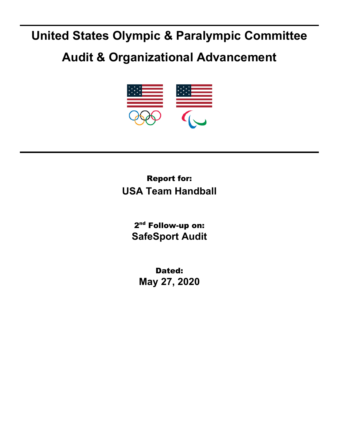## **United States Olympic & Paralympic Committee**

## **Audit & Organizational Advancement**



## Report for: **USA Team Handball**

2<sup>nd</sup> Follow-up on: **SafeSport Audit**

Dated: **May 27, 2020**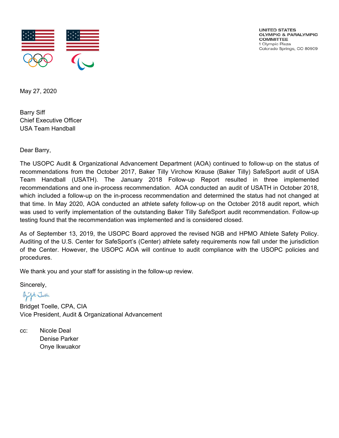

UNITED STATES OLYMPIC & PARALVMPIC **COMMITTEE** 1 Olympic Plaza Colorado Springs, CO 80909

May 27, 2020

Barry Siff Chief Executive Officer USA Team Handball

Dear Barry,

The USOPC Audit & Organizational Advancement Department (AOA) continued to follow-up on the status of recommendations from the October 2017, Baker Tilly Virchow Krause (Baker Tilly) SafeSport audit of USA Team Handball (USATH). The January 2018 Follow-up Report resulted in three implemented recommendations and one in-process recommendation. AOA conducted an audit of USATH in October 2018, which included a follow-up on the in-process recommendation and determined the status had not changed at that time. In May 2020, AOA conducted an athlete safety follow-up on the October 2018 audit report, which was used to verify implementation of the outstanding Baker Tilly SafeSport audit recommendation. Follow-up testing found that the recommendation was implemented and is considered closed.

As of September 13, 2019, the USOPC Board approved the revised NGB and HPMO Athlete Safety Policy. Auditing of the U.S. Center for SafeSport's (Center) athlete safety requirements now fall under the jurisdiction of the Center. However, the USOPC AOA will continue to audit compliance with the USOPC policies and procedures.

We thank you and your staff for assisting in the follow-up review.

Sincerely,

Bight Julle

Bridget Toelle, CPA, CIA Vice President, Audit & Organizational Advancement

cc: Nicole Deal Denise Parker Onye Ikwuakor